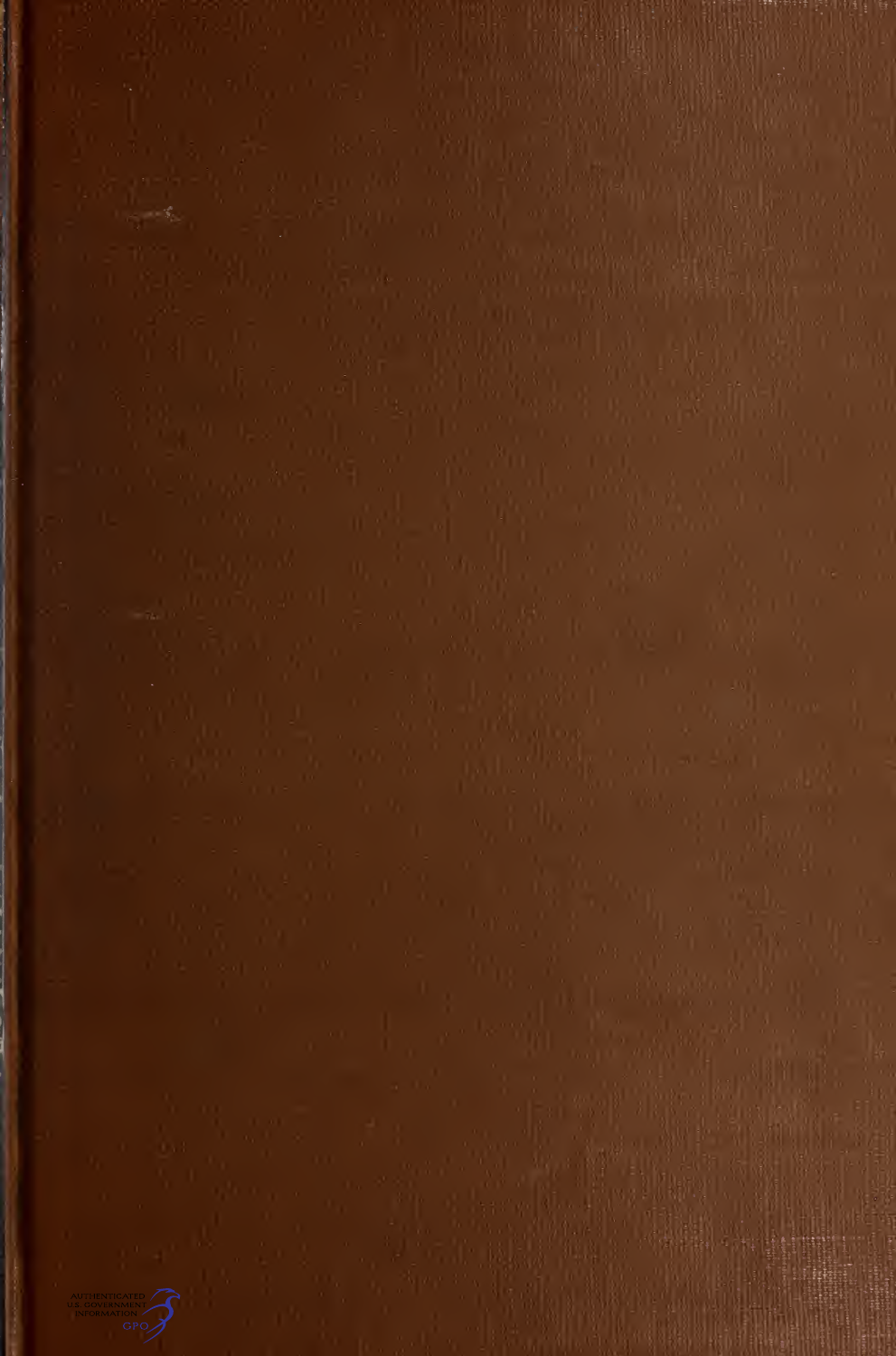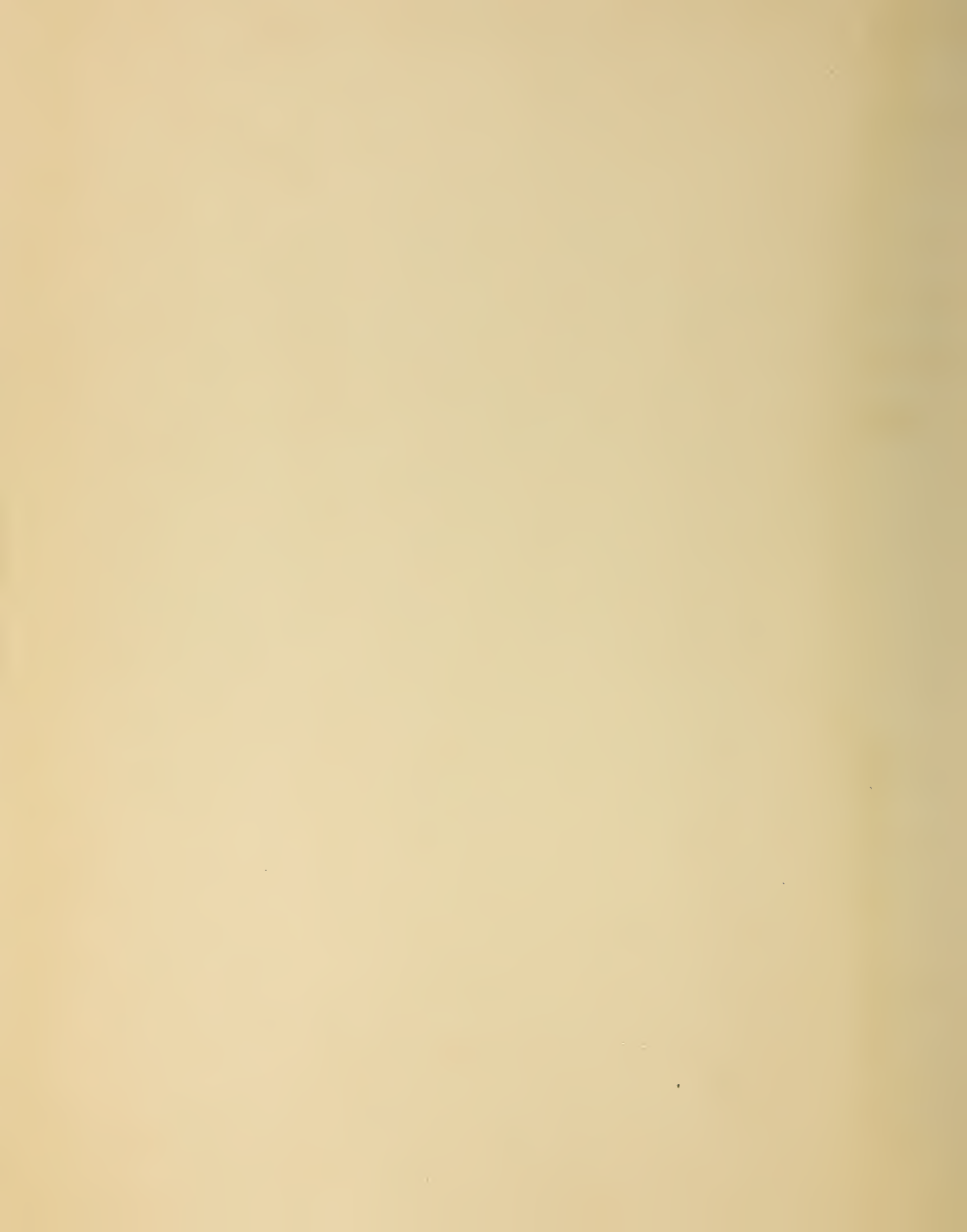$\mathcal{A} \in \mathcal{A}$  ,  $\mathcal{A} \in \mathcal{A}$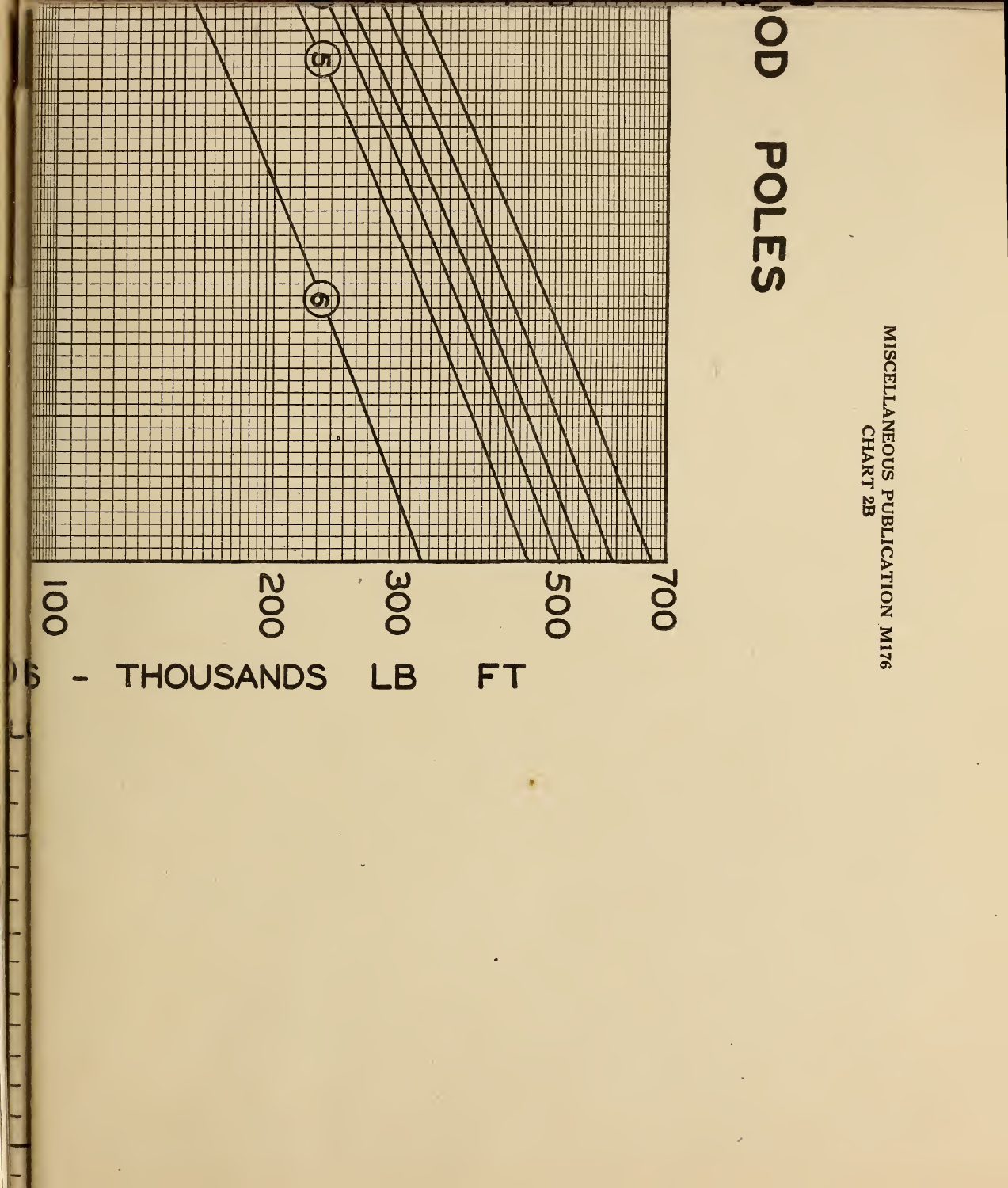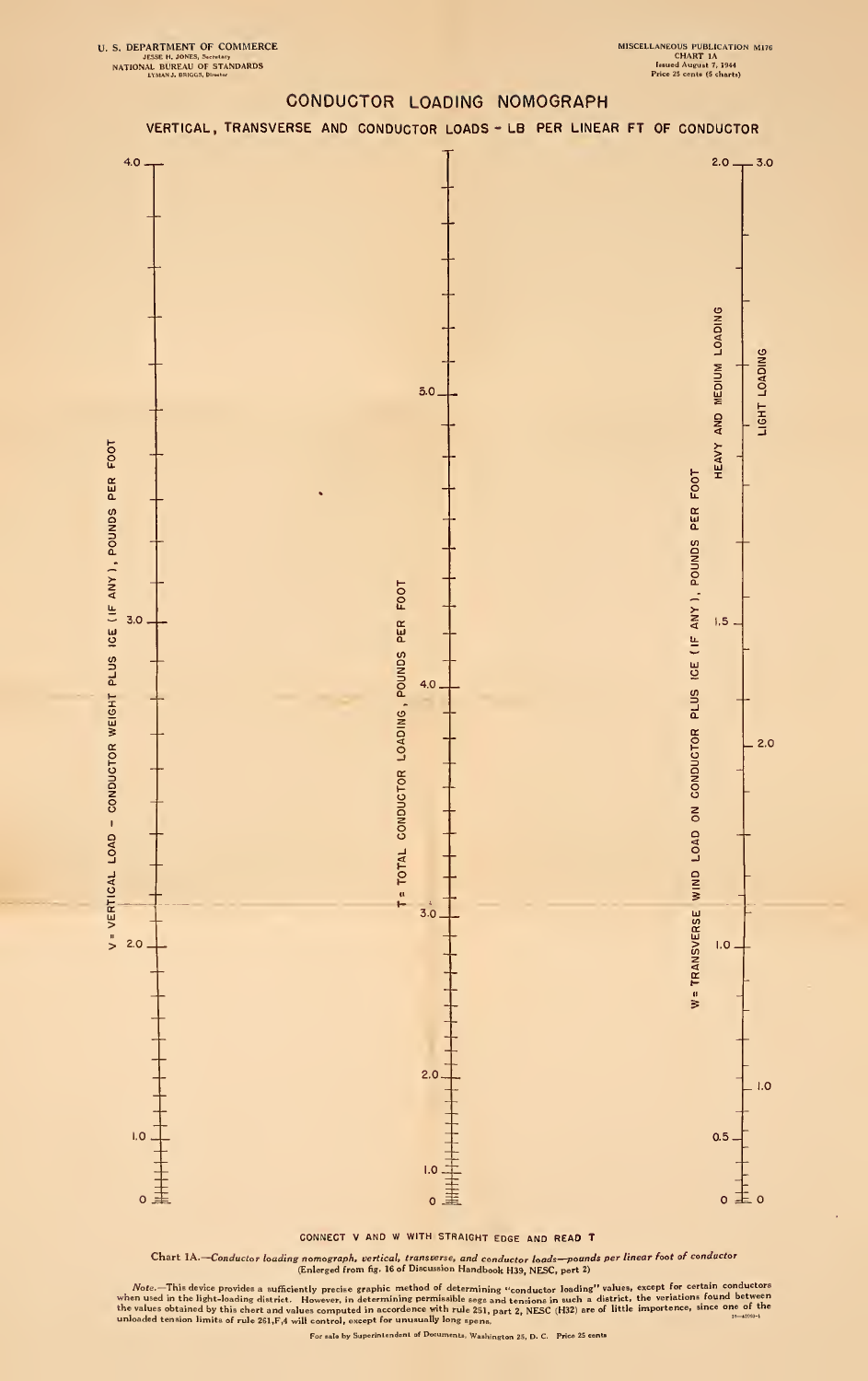

CONDUCTOR LOADING NOMOGRAPH

CONNECT V AND W WITH STRAIGHT EDGE AND READ T

Chart 1A. - Conductor loading nomograph, vertical, transverse, and conductor loads-pounds per linear foot of conductor<br>(Enlerged from fig. 16 of Discussion Handbook H39, NESC, pert 2)

*Note.*—This device provides a sufficiently precise graphic method of determining "conductor loading" values, except for certain conductors when used in the light-loading detrict. However, in determining permissible segs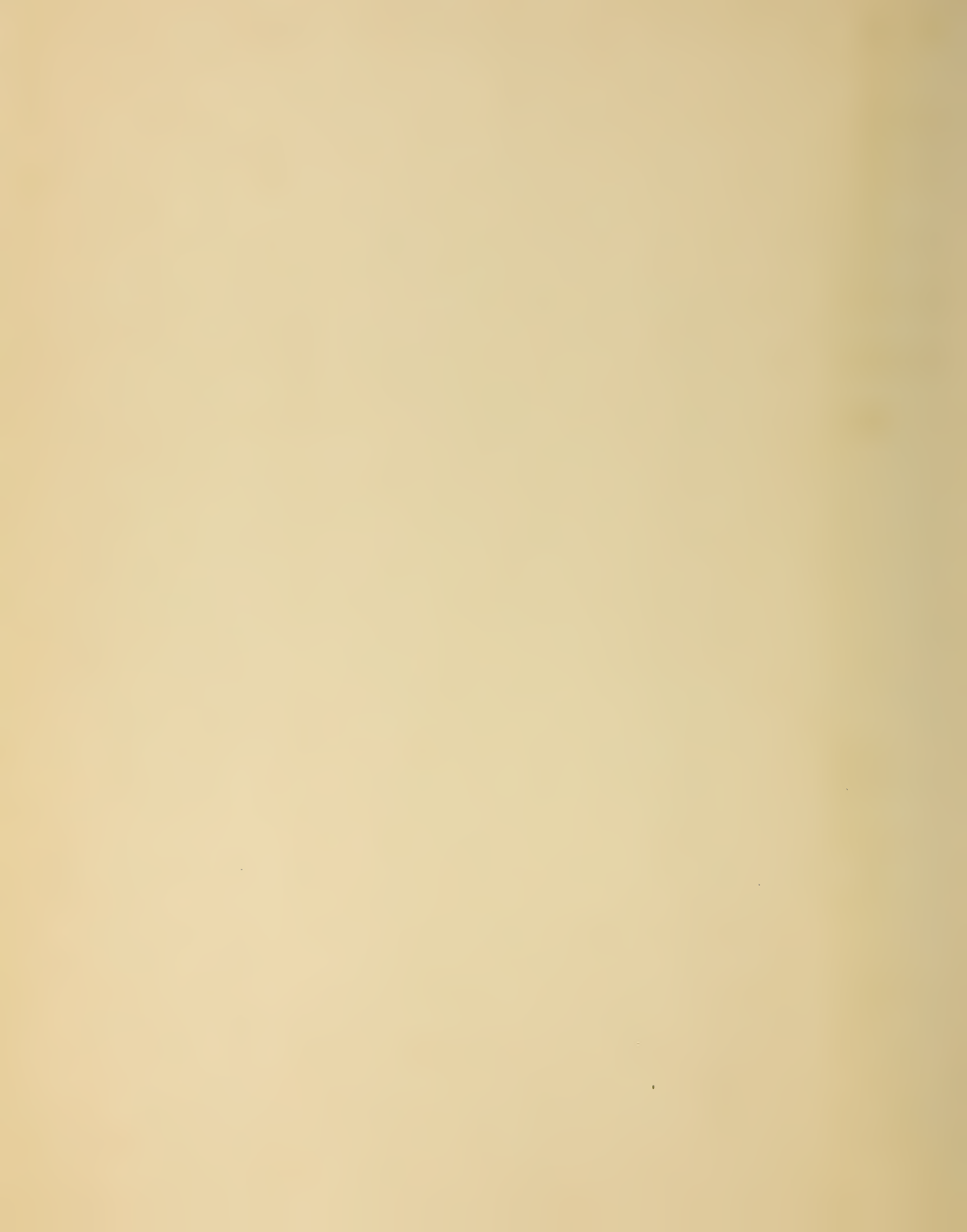**Contract Contract**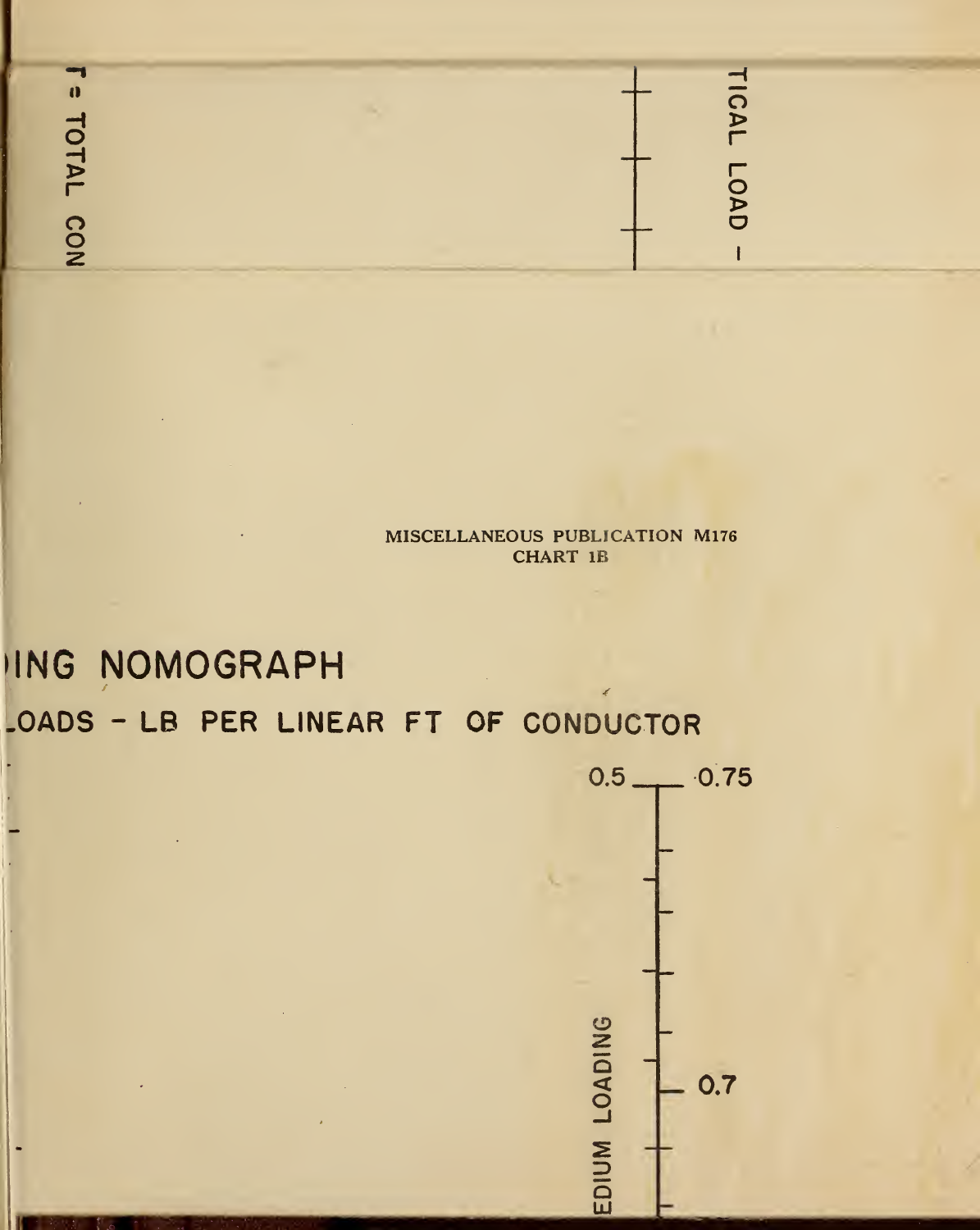

TICAL LOAD  $\overline{1}$ 

#### MISCELLANEOUS PUBLICATION M176 **CHART 1B**

# ING NOMOGRAPH LOADS - LB PER LINEAR FT OF CONDUCTOR

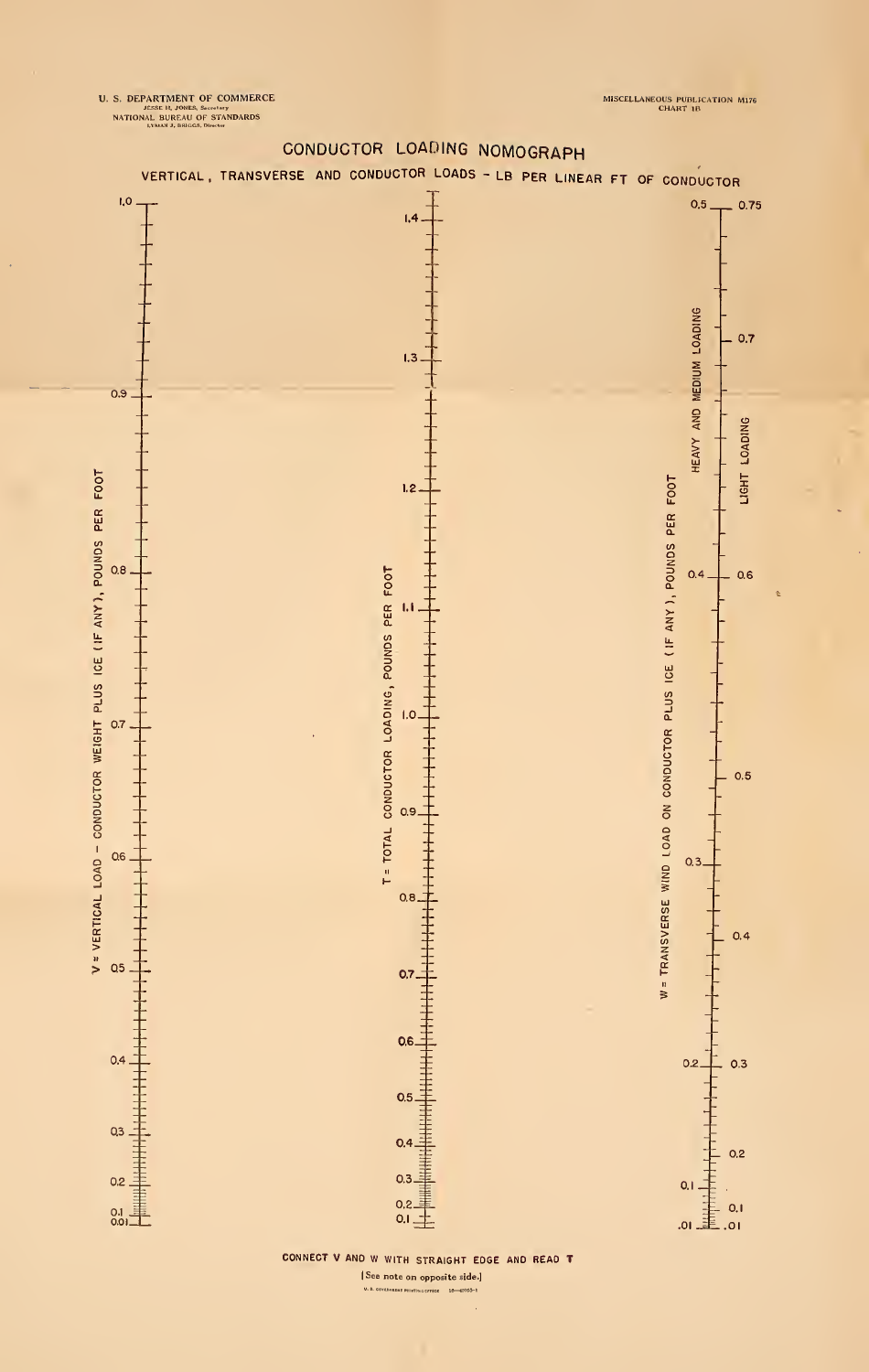U. S. DEPARTMENT OF COMMERCE<br>
SESSE R, JONES, Secretary<br>
NATIONAL BUREAU OF STANDARDS<br>
LYMAN J, DRIGGS, Director

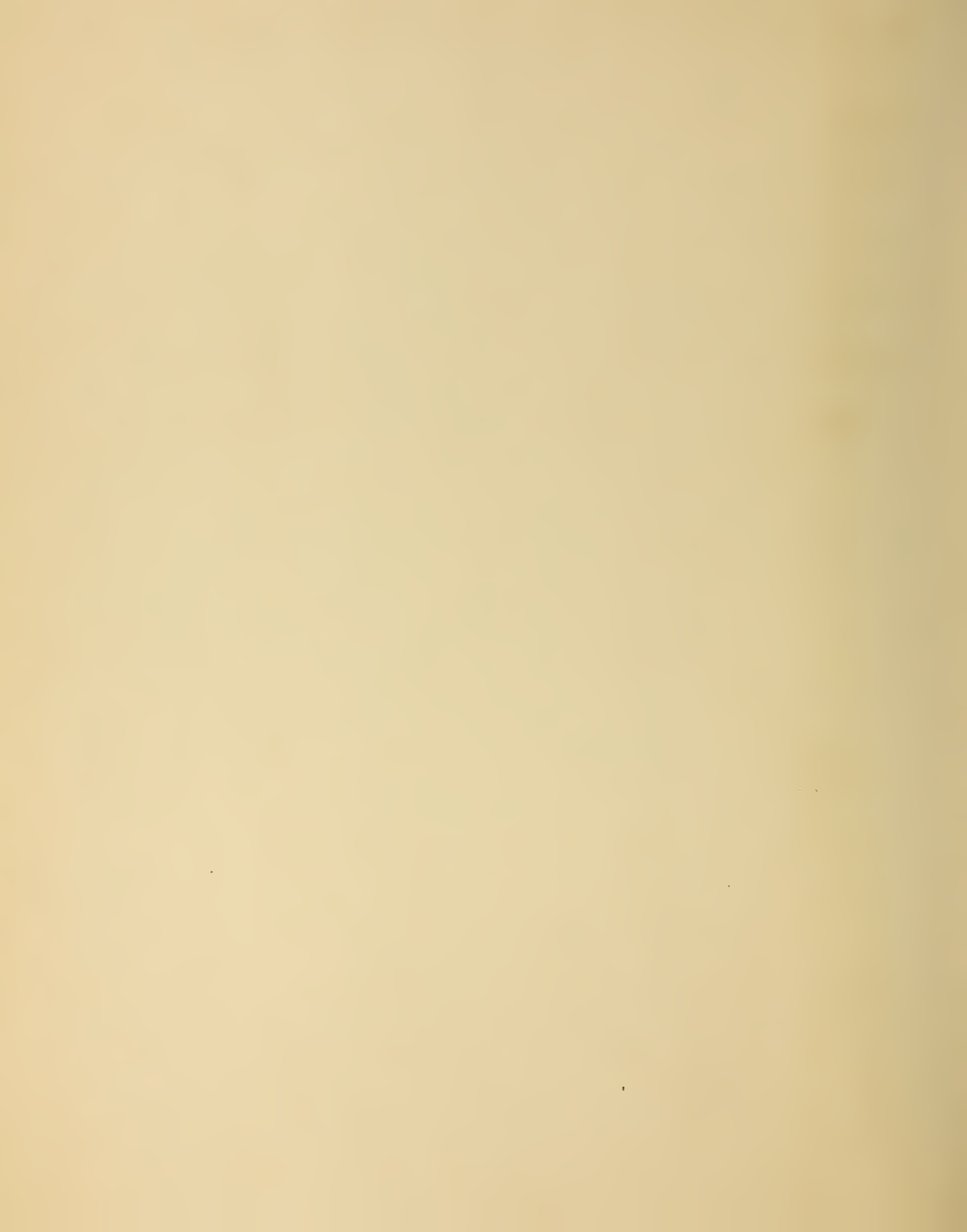$\label{eq:2} \mathcal{L}(\mathcal{L}) = \mathcal{L}(\mathcal{L}) = \mathcal{L}(\mathcal{L})$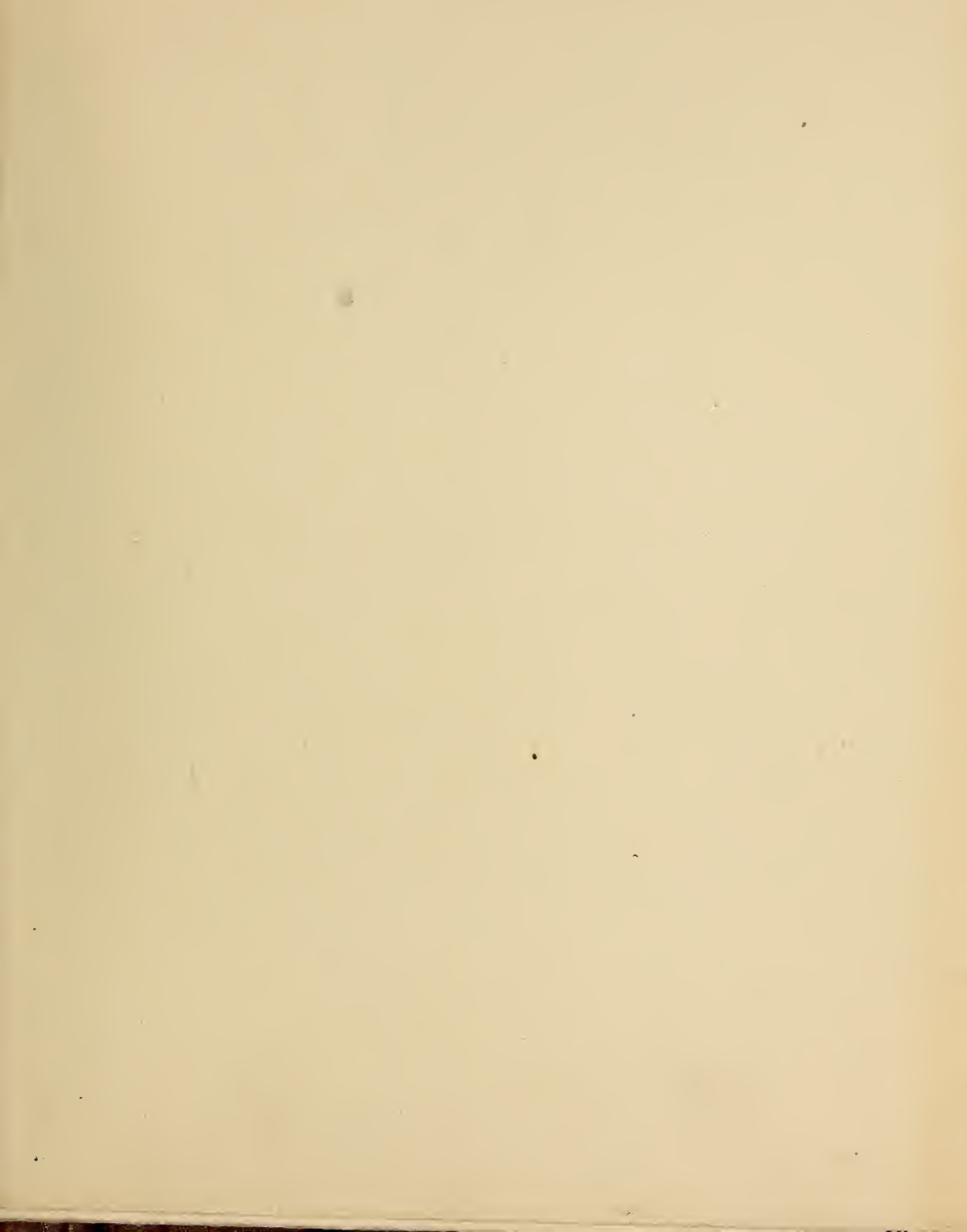$\epsilon$ 

de la companya de la companya de

**Controller State** 

 $\mathbf{r}$ 

 $\mathbb{R}^3$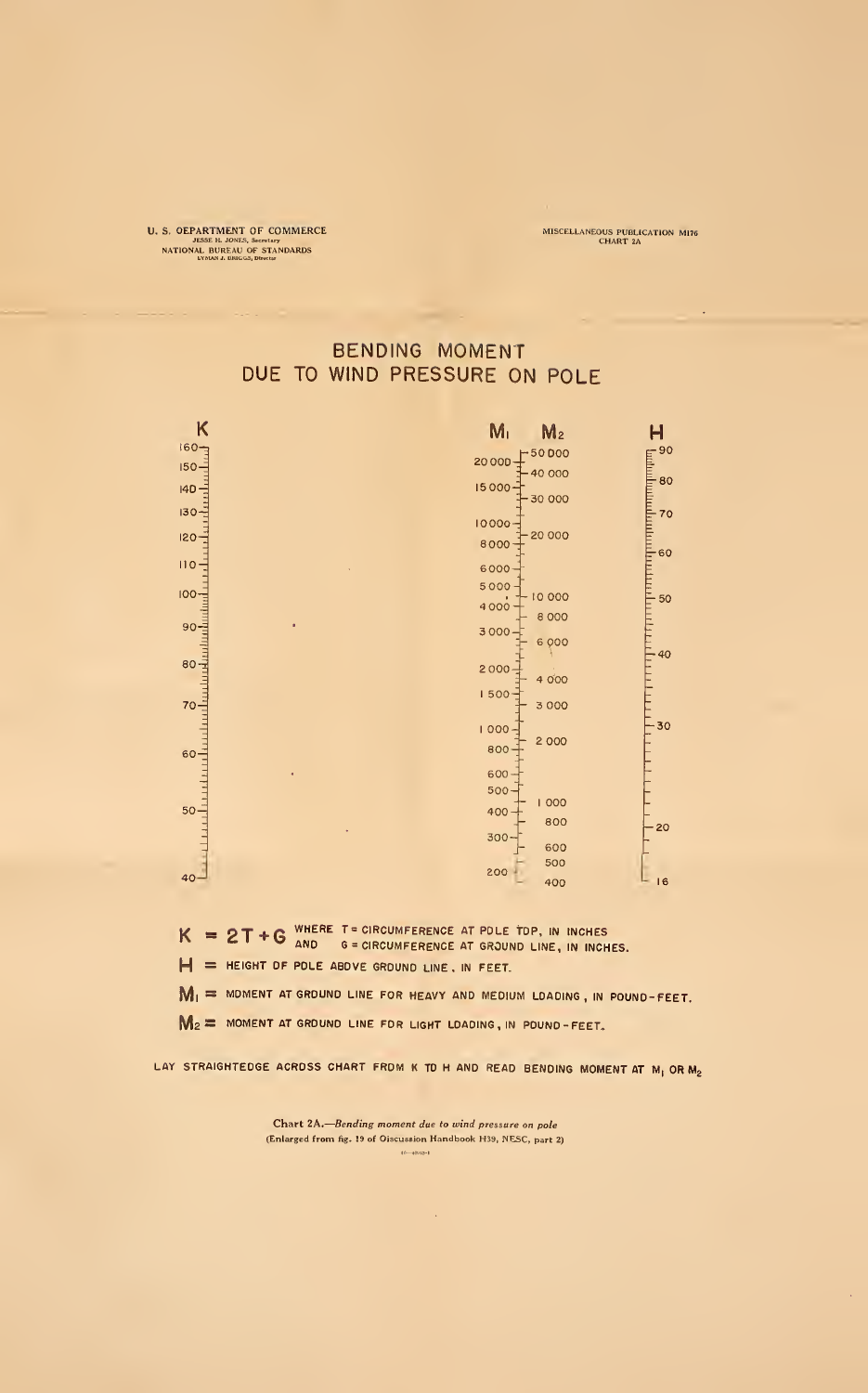MISCELLANEOUS PUBLICATION MI76<br>CHART 2A

U. S. OEPARTMENT OF COMMERCE JESSE H. JONES, Secretary NATIONAL BUREAU OF STANDARDS



## BENDING MOMENT DUE TO WIND PRESSURE ON POLE

 $K = 2T + G$  where the circumference at pole top, in inches and  $G =$  circumference at ground line, in inches. H = HEIGHT OF POLE ABOVE GROUND LINE . IN FEET.

 $M_1$  = MOMENT AT GROUND LINE FOR HEAVY AND MEDIUM LOADING, IN POUND-FEET.

 $M_2$  = MOMENT AT GROUND LINE FOR LIGHT LOADING, IN POUND-FEET.

LAY STRAIGHTEDGE ACRDSS CHART FROM K TO H AND READ BENDING MOMENT AT  $M_1$  OR  $M_2$ 

Chart 2A. Bending moment due to wind pressure on pole (Enlarged from fig. 19 of Oiscussion Handbook H39, NESC, part 2)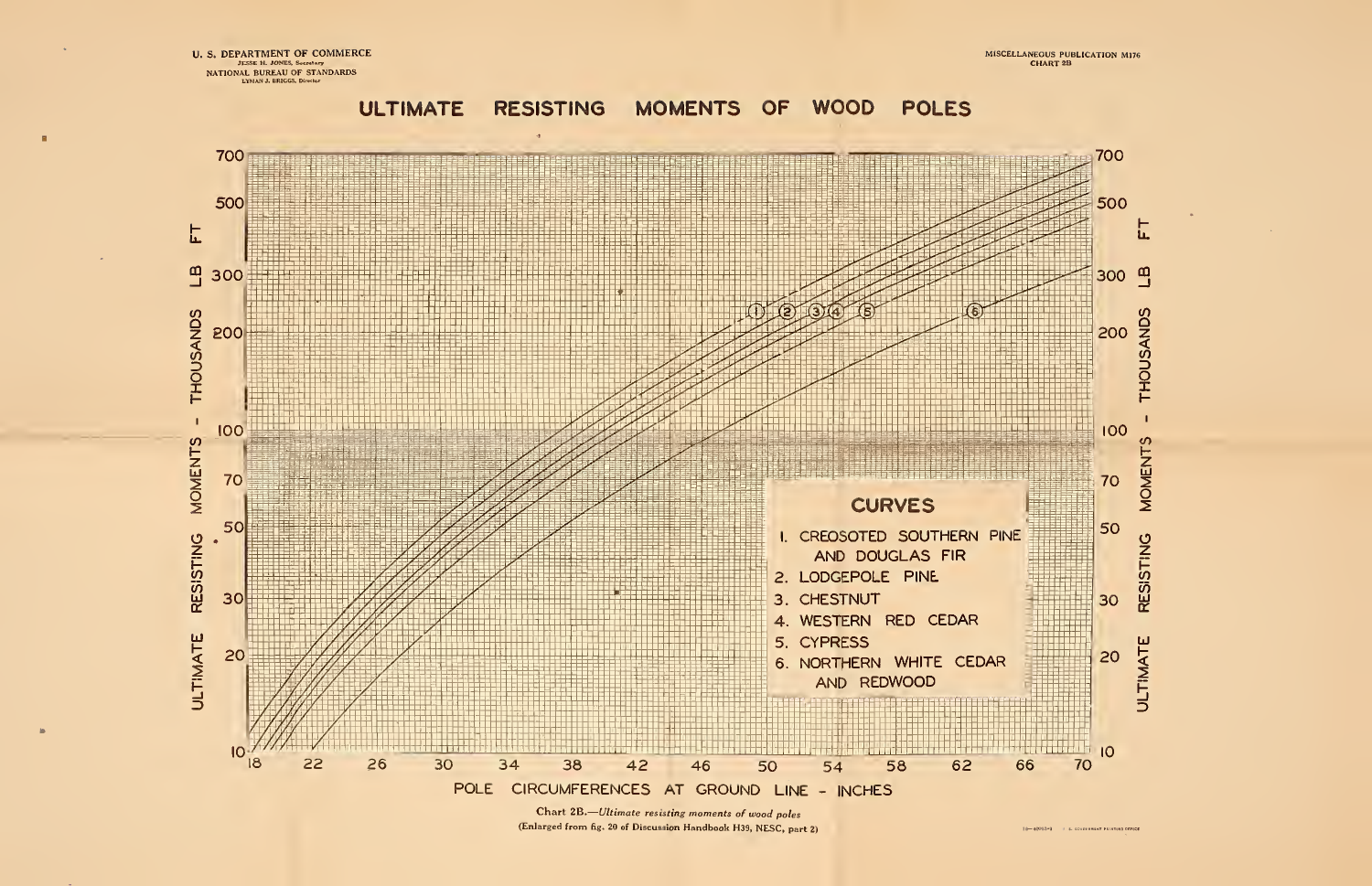U. S. DEPARTMENT OF COMMERCE MISCELLANEOUS PUBLICATION M176 NATIONAL BUREAU OF STANDARDS

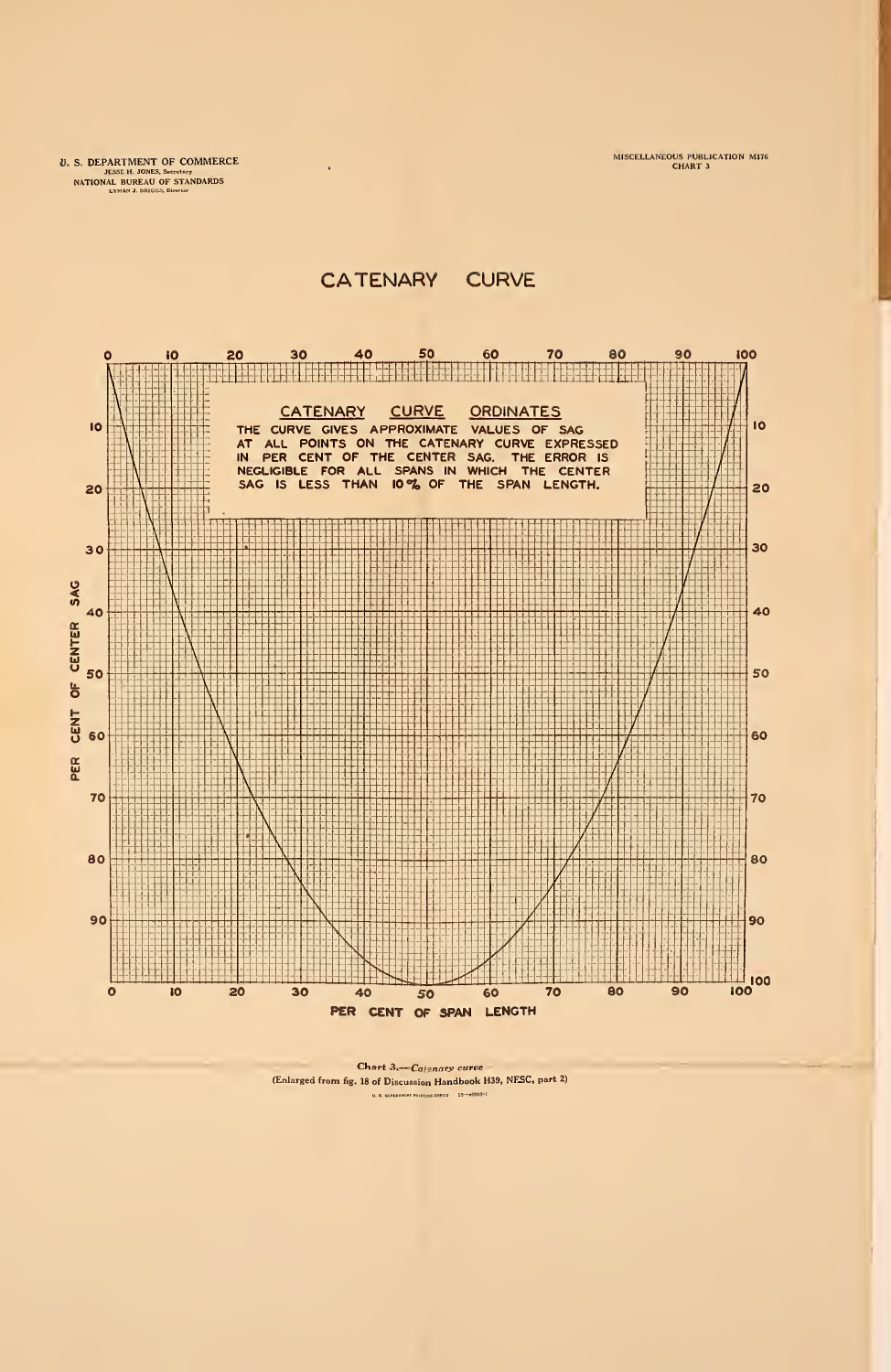MISCELLANEOUS PUBLICATION MITH

**U. S. DEPARTMENT OF COMMERCE** JESSE H. JONES, Secretary<br>NATIONAL BUREAU OF STANDARDS

### CATENARY CURVE



Chart  $3 - \text{Cajenary curve}$ (Enlarged from fig. 18 of Discussion Handbook H39, NESC, part 2) U. S. GOVERNMENT PHIRTIES CYFICE 10-40993-1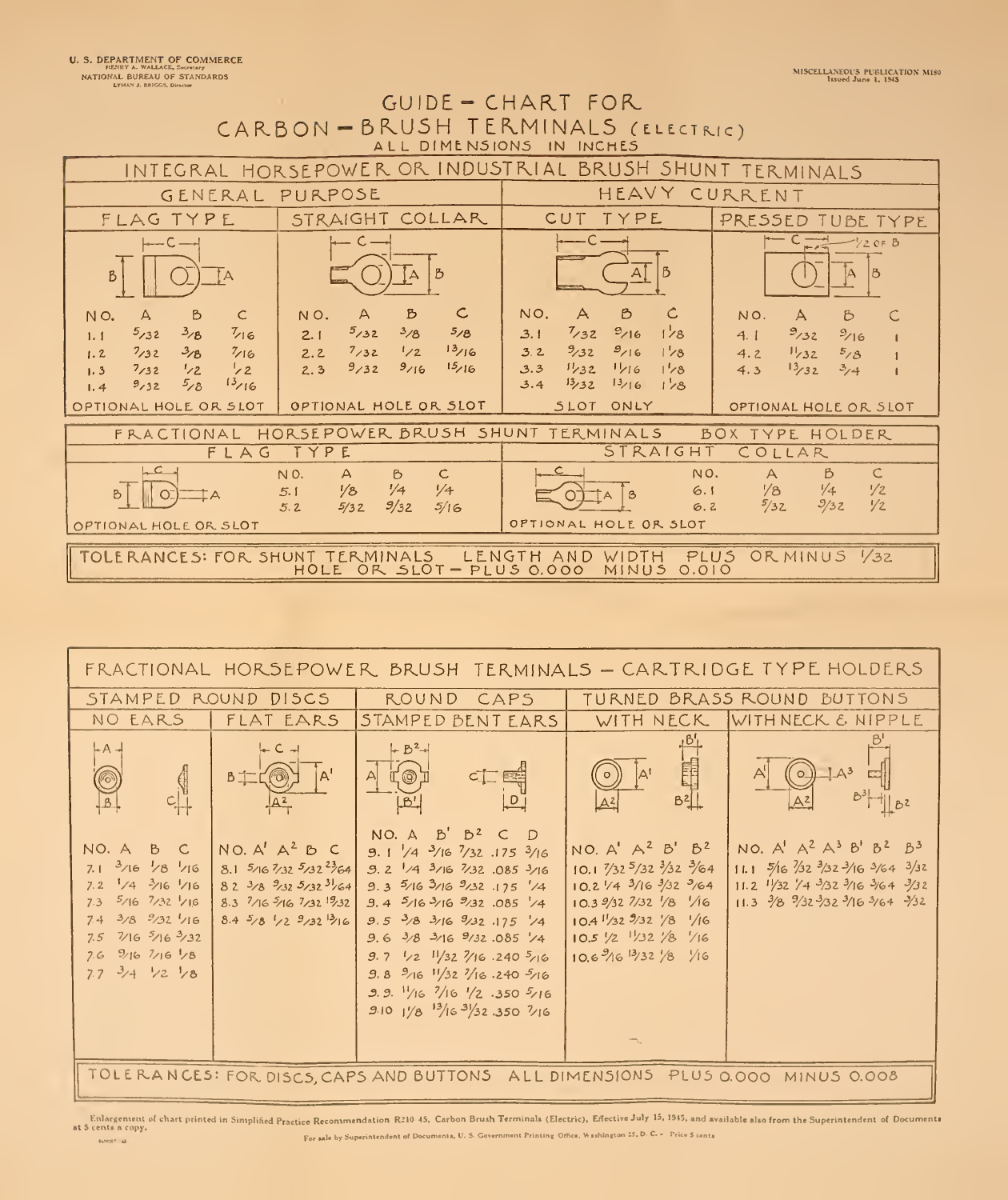| $GUIDE - CHART FOR$                                                                                                                                                                                                              |                                                                                                                                |                                                                                                                                                                                            |                                                                                                                                          |  |  |  |
|----------------------------------------------------------------------------------------------------------------------------------------------------------------------------------------------------------------------------------|--------------------------------------------------------------------------------------------------------------------------------|--------------------------------------------------------------------------------------------------------------------------------------------------------------------------------------------|------------------------------------------------------------------------------------------------------------------------------------------|--|--|--|
| CARBON-BRUSH TERMINALS (ELECTRIC)<br>ALL DIMENSIONS IN INCHES                                                                                                                                                                    |                                                                                                                                |                                                                                                                                                                                            |                                                                                                                                          |  |  |  |
| INTEGRAL HORSEPOWER OR INDUSTRIAL BRUSH SHUNT TERMINALS                                                                                                                                                                          |                                                                                                                                |                                                                                                                                                                                            |                                                                                                                                          |  |  |  |
| GENERAL PURPOSE                                                                                                                                                                                                                  |                                                                                                                                | HEAVY CURRENT                                                                                                                                                                              |                                                                                                                                          |  |  |  |
| STRAIGHT COLLAR<br>FLAG TYPE                                                                                                                                                                                                     |                                                                                                                                | CUT TYPE                                                                                                                                                                                   | PRESSED TUBE TYPE                                                                                                                        |  |  |  |
| $C -$<br>$\leftarrow$ $\leftarrow$<br>B<br>B                                                                                                                                                                                     |                                                                                                                                | В                                                                                                                                                                                          | $C \rightarrow \frac{1}{2}$ of B<br>B                                                                                                    |  |  |  |
| B<br>C<br>NO.<br>A<br>NO.<br>3/8<br>5/32<br>7/16<br>2.1<br>1.1 <sub>1</sub><br>3/8<br>7/32<br>7/16<br>2.2<br>1.2<br>$\frac{1}{2}$<br>$^{1}/2$<br>2.3<br>7/32<br>1.3<br>$^{13}/16$<br>5/8<br>9,32<br>1.4<br>OPTIONAL HOLE OR SLOT | $\subset$<br>B<br>$\mathsf{A}$<br>5/32<br>3/8<br>5/8<br>13/16<br>1/2<br>7/32<br>9/16<br>15/16<br>9/32<br>OPTIONAL HOLE OR SLOT | NO.<br>B<br>$\mathsf{A}$<br>C<br>$^{9/16}$<br>7/32<br>1'8<br>3.1<br>9/32<br>9/16<br>3.2<br>$1'$ /8<br>$1^{1}/32$<br>1/16<br>$1'$ /8<br>3.3<br>13/32<br>13/16<br>$1'$ 8<br>3.4<br>SLOT ONLY | $\subset$<br>NO.<br>$\mathsf{A}$<br>B<br>9/32<br>$^{9}$ /16<br>4.1<br>1/32<br>5/8<br>4.2<br>13/32<br>3/4<br>4.3<br>OPTIONAL HOLE OR SLOT |  |  |  |
| FRACTIONAL HORSEPOWER BRUSH SHUNT TERMINALS BOX TYPE HOLDER                                                                                                                                                                      |                                                                                                                                |                                                                                                                                                                                            |                                                                                                                                          |  |  |  |
| FLAG TYPE                                                                                                                                                                                                                        |                                                                                                                                | STRAIGHT<br>COLLAR                                                                                                                                                                         |                                                                                                                                          |  |  |  |
| NO.<br>5.1<br>5.2<br>OPTIONAL HOLE OR SLOT                                                                                                                                                                                       | $\mathsf{C}$<br>$\beta$<br>$\mathsf{A}$<br>$\frac{1}{4}$<br>$\frac{1}{4}$<br>$\frac{1}{8}$<br>9/32<br>5/16<br>5/32             | c<br>NO.<br>6.1<br>6.2<br>OPTIONAL HOLE OR SLOT                                                                                                                                            | $\mathsf{C}$<br>B<br>$\mathsf{A}$<br>$\frac{1}{2}$<br>$\frac{1}{4}$<br>''ש<br>$\frac{1}{2}$<br>$\frac{5}{32}$<br>$\frac{9}{32}$          |  |  |  |
| TOLERANCES: FOR SHUNT TERMINALS LENGTH AND WIDTH PLUS OR MINUS V32                                                                                                                                                               |                                                                                                                                |                                                                                                                                                                                            |                                                                                                                                          |  |  |  |

| FRACTIONAL HORSEPOWER BRUSH TERMINALS - CARTRIDGE TYPE HOLDERS                                                                                                                                                                               |                                                                                                                                                                                                          |                                                                                                                                                                                                                                                                                                                                                                                                                                                                                                                                                                                                                                     |                                                                                                                                                                                                                                                                                                             |                                                                                                                                                                                                                     |  |
|----------------------------------------------------------------------------------------------------------------------------------------------------------------------------------------------------------------------------------------------|----------------------------------------------------------------------------------------------------------------------------------------------------------------------------------------------------------|-------------------------------------------------------------------------------------------------------------------------------------------------------------------------------------------------------------------------------------------------------------------------------------------------------------------------------------------------------------------------------------------------------------------------------------------------------------------------------------------------------------------------------------------------------------------------------------------------------------------------------------|-------------------------------------------------------------------------------------------------------------------------------------------------------------------------------------------------------------------------------------------------------------------------------------------------------------|---------------------------------------------------------------------------------------------------------------------------------------------------------------------------------------------------------------------|--|
| STAMPED ROUND DISCS                                                                                                                                                                                                                          |                                                                                                                                                                                                          | ROUND CAPS<br>TURNED BRASS ROUND BUTTONS                                                                                                                                                                                                                                                                                                                                                                                                                                                                                                                                                                                            |                                                                                                                                                                                                                                                                                                             |                                                                                                                                                                                                                     |  |
| NO EARS                                                                                                                                                                                                                                      | FLAT EARS                                                                                                                                                                                                | STAMPED BENT EARS                                                                                                                                                                                                                                                                                                                                                                                                                                                                                                                                                                                                                   | WITH NECK                                                                                                                                                                                                                                                                                                   | <b>WITH NECK &amp; NIPPLE</b>                                                                                                                                                                                       |  |
| $\vdash$ A $\lnot$<br>$\bigcirc$                                                                                                                                                                                                             | $B \uparrow$                                                                                                                                                                                             | $+ B2$<br>$\mathbb{L} \textcircled{\tiny{\#}}$<br>$\begin{picture}(20,5) \put(0,0){\line(1,0){155}} \put(15,0){\line(1,0){155}} \put(15,0){\line(1,0){155}} \put(15,0){\line(1,0){155}} \put(15,0){\line(1,0){155}} \put(15,0){\line(1,0){155}} \put(15,0){\line(1,0){155}} \put(15,0){\line(1,0){155}} \put(15,0){\line(1,0){155}} \put(15,0){\line(1,0){155}} \put(15,0){\line(1,0){155}} \put$<br>B'                                                                                                                                                                                                                             | $(\circ)$ $A'$<br>B21                                                                                                                                                                                                                                                                                       |                                                                                                                                                                                                                     |  |
| NO. A B C<br>$7.1^{3/16}$ /8 $\sqrt{16}$<br>$7.2$ $/4$ $\frac{3}{16}$ $\frac{1}{16}$<br>$7.3$ $5/16$ $7/32$ $1/16$<br>$7.4$ $3/8$ $9/32$ $16$<br>7.5 $7/16$ $5/16$ $3/32$<br>$7.6$ $9/16$ $7/16$ $1/8$<br>$7.7 \frac{3}{4}$ /2 $\frac{1}{8}$ | $NO. A' A^2 B C$<br>8.1 $5/16$ $7/32$ $5/32$ $2^3/64$<br>$82^{3/8}$ $\frac{9}{32}$ $\frac{5}{32}$ $\frac{3}{64}$<br>$8.3\frac{7}{16}$ $\frac{5}{16}$ $\frac{7}{32}$ $\frac{19}{32}$<br>8.45/81/29/321/16 | NO. A $B' B^2 C D$<br>$9.1\frac{1}{4}$ $3/16$ $7/32$ $.175$ $3/16$<br>$9.2^{1/4}$ $3/16$ $7/32$ $.085$ $3/16$<br>$9.3$ $\frac{5}{16}$ $\frac{3}{16}$ $\frac{9}{32}$ $\frac{1}{15}$ $\frac{1}{4}$<br>$9.4$ $5/16$ $3/16$ $7/32$ $.085$ $74$<br>$9.5$ $3/8$ $3/16$ $9/32$ $115$ $1/4$<br>$9.6 \frac{3}{8}$ $\frac{3}{16}$ $\frac{9}{32}$ $\frac{0.85}{14}$<br>$9.7 \frac{1}{2} \frac{1}{32} \frac{7}{6}$ . 240 $\frac{5}{16}$<br>$9.8$ $\frac{9}{16}$ $\frac{11}{32}$ $\frac{7}{16}$ $\cdot 240$ $\frac{5}{16}$<br>$9.9.$ $\frac{1}{16}$ $\frac{7}{16}$ $\frac{1}{2}$ $.350$ $\frac{5}{16}$<br>$9.10$ $1/8$ $13/16$ $3/32$ 350 $7/16$ | NO. $A' A^2 B' B^2$<br>$10.1^{7}/32^{5}/32^{3}/32^{3}/64$<br>$10.2\frac{1}{4}$ $3/16$ $3/32$ $3/64$<br>$10.3\frac{9}{32}\frac{7}{32}\frac{1}{8}$<br>$10.4^{1/32}$ $\frac{9}{32}$ $\frac{1}{8}$ $\frac{1}{16}$<br>$10.5'/2$ $1/32'/8$ /16<br>$10.6\frac{9}{16}$ $\frac{13}{32}$ $\frac{1}{8}$ $\frac{1}{16}$ | NO. A' $A^2$ $A^3$ $B'$ $B^2$ $B^3$<br>11.1 5/16 1/32 3/32 3/16 3/64 3/32<br>11.2 $1/32 / 4 3/32 3/16 3/64 3/32$<br>$11.3$ $\frac{3}{8}$ $\frac{9}{32}$ $\frac{3}{32}$ $\frac{3}{16}$ $\frac{3}{64}$ $\frac{3}{32}$ |  |
| TOLERANCES: FOR DISCS, CAPS AND BUTTONS ALL DIMENSIONS PLUS 0.000 MINUS 0.008                                                                                                                                                                |                                                                                                                                                                                                          |                                                                                                                                                                                                                                                                                                                                                                                                                                                                                                                                                                                                                                     |                                                                                                                                                                                                                                                                                                             |                                                                                                                                                                                                                     |  |

Enlargement of chart printed in Simplified Practice Recommendation R210 45, Carbon Brush Terminals (Electric), Effective July 15, 1945, and available also from the Superintendent of Documents<br>at 5 cents a copy, For sale by Superintendent of Documenta, U.S. Government Printing Office, Washington 25, D.C. + Price 5 centa  $1000^{\rm h}$  at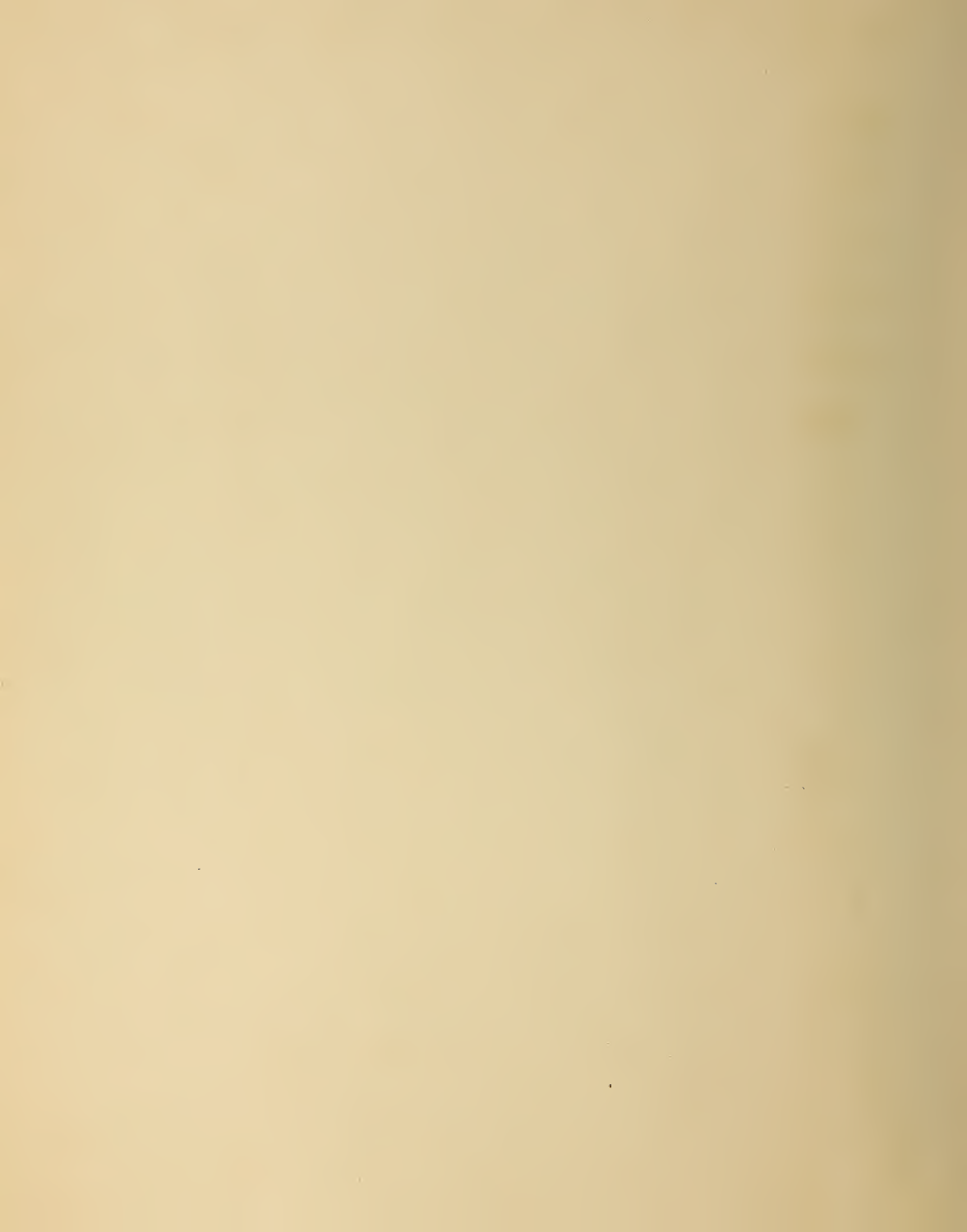$\mathcal{L}_{\text{max}}$  , and  $\mathcal{L}_{\text{max}}$  , and

a na matang